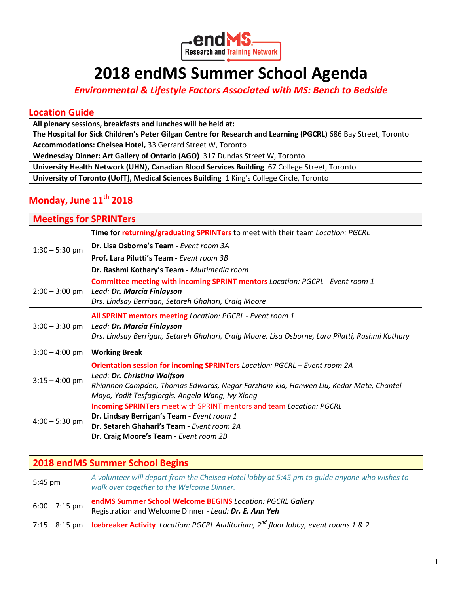

# **2018 endMS Summer School Agenda**

*Environmental & Lifestyle Factors Associated with MS: Bench to Bedside*

### **Location Guide**

**All plenary sessions, breakfasts and lunches will be held at:** 

**The Hospital for Sick Children's Peter Gilgan Centre for Research and Learning (PGCRL)** 686 Bay Street, Toronto **Accommodations: Chelsea Hotel,** 33 Gerrard Street W, Toronto

**Wednesday Dinner: Art Gallery of Ontario (AGO)** 317 Dundas Street W, Toronto

**University Health Network (UHN), Canadian Blood Services Building** 67 College Street, Toronto

**University of Toronto (UofT), Medical Sciences Building** 1 King's College Circle, Toronto

## **Monday, June 11th 2018**

| <b>Meetings for SPRINTers</b> |                                                                                                 |
|-------------------------------|-------------------------------------------------------------------------------------------------|
| $1:30 - 5:30$ pm              | Time for returning/graduating SPRINTers to meet with their team Location: PGCRL                 |
|                               | Dr. Lisa Osborne's Team - Event room 3A                                                         |
|                               | Prof. Lara Pilutti's Team - Event room 3B                                                       |
|                               | Dr. Rashmi Kothary's Team - Multimedia room                                                     |
|                               | Committee meeting with incoming SPRINT mentors Location: PGCRL - Event room 1                   |
| $2:00 - 3:00$ pm              | Lead: Dr. Marcia Finlayson                                                                      |
|                               | Drs. Lindsay Berrigan, Setareh Ghahari, Craig Moore                                             |
|                               | All SPRINT mentors meeting Location: PGCRL - Event room 1                                       |
| $3:00 - 3:30$ pm              | Lead: Dr. Marcia Finlayson                                                                      |
|                               | Drs. Lindsay Berrigan, Setareh Ghahari, Craig Moore, Lisa Osborne, Lara Pilutti, Rashmi Kothary |
| $3:00 - 4:00$ pm              | <b>Working Break</b>                                                                            |
|                               | Orientation session for incoming SPRINTers Location: PGCRL - Event room 2A                      |
| $3:15 - 4:00$ pm              | Lead: Dr. Christina Wolfson                                                                     |
|                               | Rhiannon Campden, Thomas Edwards, Negar Farzham-kia, Hanwen Liu, Kedar Mate, Chantel            |
|                               | Mayo, Yodit Tesfagiorgis, Angela Wang, Ivy Xiong                                                |
| $4:00 - 5:30$ pm              | <b>Incoming SPRINTers</b> meet with SPRINT mentors and team Location: PGCRL                     |
|                               | Dr. Lindsay Berrigan's Team - Event room 1                                                      |
|                               | Dr. Setareh Ghahari's Team - Event room 2A                                                      |
|                               | Dr. Craig Moore's Team - Event room 2B                                                          |

| <b>2018 endMS Summer School Begins</b> |                                                                                                                                            |
|----------------------------------------|--------------------------------------------------------------------------------------------------------------------------------------------|
| $5:45$ pm                              | A volunteer will depart from the Chelsea Hotel lobby at 5:45 pm to quide anyone who wishes to<br>walk over together to the Welcome Dinner. |
| $6:00 - 7:15$ pm                       | endMS Summer School Welcome BEGINS Location: PGCRL Gallery<br>Registration and Welcome Dinner - Lead: Dr. E. Ann Yeh                       |
| 7:15 – 8:15 pm $ $                     | <b>Icebreaker Activity</b> Location: PGCRL Auditorium, $2^{nd}$ floor lobby, event rooms 1 & 2                                             |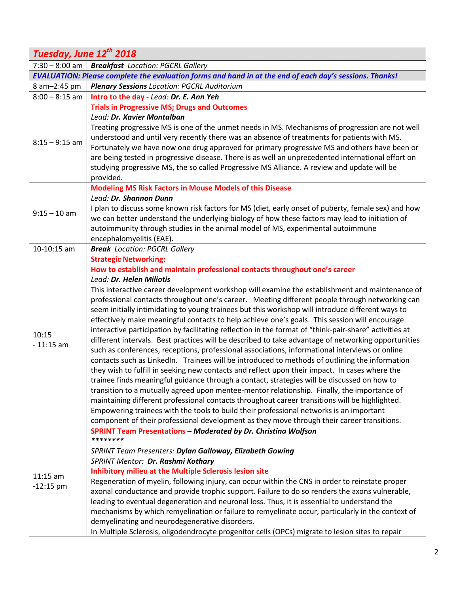| Tuesday, June 12th 2018   |                                                                                                             |
|---------------------------|-------------------------------------------------------------------------------------------------------------|
| $7:30 - 8:00$ am          | <b>Breakfast</b> Location: PGCRL Gallery                                                                    |
|                           | EVALUATION: Please complete the evaluation forms and hand in at the end of each day's sessions. Thanks!     |
| 8 am-2:45 pm              | <b>Plenary Sessions Location: PGCRL Auditorium</b>                                                          |
| $8:00 - 8:15$ am          | Intro to the day - Lead: Dr. E. Ann Yeh                                                                     |
| $8:15 - 9:15$ am          | <b>Trials in Progressive MS; Drugs and Outcomes</b>                                                         |
|                           | Lead: Dr. Xavier Montalban                                                                                  |
|                           | Treating progressive MS is one of the unmet needs in MS. Mechanisms of progression are not well             |
|                           | understood and until very recently there was an absence of treatments for patients with MS.                 |
|                           | Fortunately we have now one drug approved for primary progressive MS and others have been or                |
|                           | are being tested in progressive disease. There is as well an unprecedented international effort on          |
|                           | studying progressive MS, the so called Progressive MS Alliance. A review and update will be                 |
|                           | provided.                                                                                                   |
|                           | <b>Modeling MS Risk Factors in Mouse Models of this Disease</b>                                             |
|                           | Lead: Dr. Shannon Dunn                                                                                      |
| $9:15 - 10$ am            | I plan to discuss some known risk factors for MS (diet, early onset of puberty, female sex) and how         |
|                           | we can better understand the underlying biology of how these factors may lead to initiation of              |
|                           | autoimmunity through studies in the animal model of MS, experimental autoimmune<br>encephalomyelitis (EAE). |
| 10-10:15 am               | <b>Break</b> Location: PGCRL Gallery                                                                        |
|                           | <b>Strategic Networking:</b>                                                                                |
|                           | How to establish and maintain professional contacts throughout one's career                                 |
|                           | Lead: Dr. Helen Miliotis                                                                                    |
|                           | This interactive career development workshop will examine the establishment and maintenance of              |
|                           | professional contacts throughout one's career. Meeting different people through networking can              |
|                           | seem initially intimidating to young trainees but this workshop will introduce different ways to            |
|                           | effectively make meaningful contacts to help achieve one's goals. This session will encourage               |
| 10:15                     | interactive participation by facilitating reflection in the format of "think-pair-share" activities at      |
| $-11:15$ am               | different intervals. Best practices will be described to take advantage of networking opportunities         |
|                           | such as conferences, receptions, professional associations, informational interviews or online              |
|                           | contacts such as LinkedIn. Trainees will be introduced to methods of outlining the information              |
|                           | they wish to fulfill in seeking new contacts and reflect upon their impact. In cases where the              |
|                           | trainee finds meaningful guidance through a contact, strategies will be discussed on how to                 |
|                           | transition to a mutually agreed upon mentee-mentor relationship. Finally, the importance of                 |
|                           | maintaining different professional contacts throughout career transitions will be highlighted.              |
|                           | Empowering trainees with the tools to build their professional networks is an important                     |
|                           | component of their professional development as they move through their career transitions.                  |
|                           | <b>SPRINT Team Presentations - Moderated by Dr. Christina Wolfson</b><br>********                           |
|                           | SPRINT Team Presenters: Dylan Galloway, Elizabeth Gowing                                                    |
| $11:15$ am<br>$-12:15$ pm | SPRINT Mentor: Dr. Rashmi Kothary                                                                           |
|                           | <b>Inhibitory milieu at the Multiple Sclerosis lesion site</b>                                              |
|                           | Regeneration of myelin, following injury, can occur within the CNS in order to reinstate proper             |
|                           | axonal conductance and provide trophic support. Failure to do so renders the axons vulnerable,              |
|                           | leading to eventual degeneration and neuronal loss. Thus, it is essential to understand the                 |
|                           | mechanisms by which remyelination or failure to remyelinate occur, particularly in the context of           |
|                           | demyelinating and neurodegenerative disorders.                                                              |
|                           | In Multiple Sclerosis, oligodendrocyte progenitor cells (OPCs) migrate to lesion sites to repair            |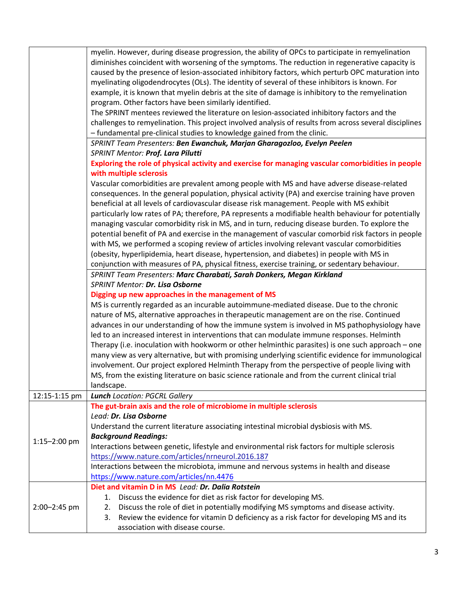|               | myelin. However, during disease progression, the ability of OPCs to participate in remyelination       |
|---------------|--------------------------------------------------------------------------------------------------------|
|               | diminishes coincident with worsening of the symptoms. The reduction in regenerative capacity is        |
|               | caused by the presence of lesion-associated inhibitory factors, which perturb OPC maturation into      |
|               | myelinating oligodendrocytes (OLs). The identity of several of these inhibitors is known. For          |
|               | example, it is known that myelin debris at the site of damage is inhibitory to the remyelination       |
|               | program. Other factors have been similarly identified.                                                 |
|               | The SPRINT mentees reviewed the literature on lesion-associated inhibitory factors and the             |
|               | challenges to remyelination. This project involved analysis of results from across several disciplines |
|               | - fundamental pre-clinical studies to knowledge gained from the clinic.                                |
|               | SPRINT Team Presenters: Ben Ewanchuk, Marjan Gharagozloo, Evelyn Peelen                                |
|               | SPRINT Mentor: Prof. Lara Pilutti                                                                      |
|               | Exploring the role of physical activity and exercise for managing vascular comorbidities in people     |
|               |                                                                                                        |
|               | with multiple sclerosis                                                                                |
|               | Vascular comorbidities are prevalent among people with MS and have adverse disease-related             |
|               | consequences. In the general population, physical activity (PA) and exercise training have proven      |
|               | beneficial at all levels of cardiovascular disease risk management. People with MS exhibit             |
|               | particularly low rates of PA; therefore, PA represents a modifiable health behaviour for potentially   |
|               | managing vascular comorbidity risk in MS, and in turn, reducing disease burden. To explore the         |
|               | potential benefit of PA and exercise in the management of vascular comorbid risk factors in people     |
|               | with MS, we performed a scoping review of articles involving relevant vascular comorbidities           |
|               | (obesity, hyperlipidemia, heart disease, hypertension, and diabetes) in people with MS in              |
|               | conjunction with measures of PA, physical fitness, exercise training, or sedentary behaviour.          |
|               | SPRINT Team Presenters: Marc Charabati, Sarah Donkers, Megan Kirkland                                  |
|               | SPRINT Mentor: Dr. Lisa Osborne                                                                        |
|               | Digging up new approaches in the management of MS                                                      |
|               | MS is currently regarded as an incurable autoimmune-mediated disease. Due to the chronic               |
|               | nature of MS, alternative approaches in therapeutic management are on the rise. Continued              |
|               | advances in our understanding of how the immune system is involved in MS pathophysiology have          |
|               | led to an increased interest in interventions that can modulate immune responses. Helminth             |
|               | Therapy (i.e. inoculation with hookworm or other helminthic parasites) is one such approach - one      |
|               | many view as very alternative, but with promising underlying scientific evidence for immunological     |
|               | involvement. Our project explored Helminth Therapy from the perspective of people living with          |
|               | MS, from the existing literature on basic science rationale and from the current clinical trial        |
|               | landscape.                                                                                             |
| 12:15-1:15 pm | <b>Lunch</b> Location: PGCRL Gallery                                                                   |
|               | The gut-brain axis and the role of microbiome in multiple sclerosis                                    |
|               | Lead: Dr. Lisa Osborne                                                                                 |
|               | Understand the current literature associating intestinal microbial dysbiosis with MS.                  |
| 1:15-2:00 pm  | <b>Background Readings:</b>                                                                            |
|               | Interactions between genetic, lifestyle and environmental risk factors for multiple sclerosis          |
|               | https://www.nature.com/articles/nrneurol.2016.187                                                      |
|               | Interactions between the microbiota, immune and nervous systems in health and disease                  |
|               | https://www.nature.com/articles/nn.4476                                                                |
|               | Diet and vitamin D in MS Lead: Dr. Dalia Rotstein                                                      |
|               | Discuss the evidence for diet as risk factor for developing MS.<br>1.                                  |
| 2:00-2:45 pm  | Discuss the role of diet in potentially modifying MS symptoms and disease activity.<br>2.              |
|               | Review the evidence for vitamin D deficiency as a risk factor for developing MS and its<br>3.          |
|               | association with disease course.                                                                       |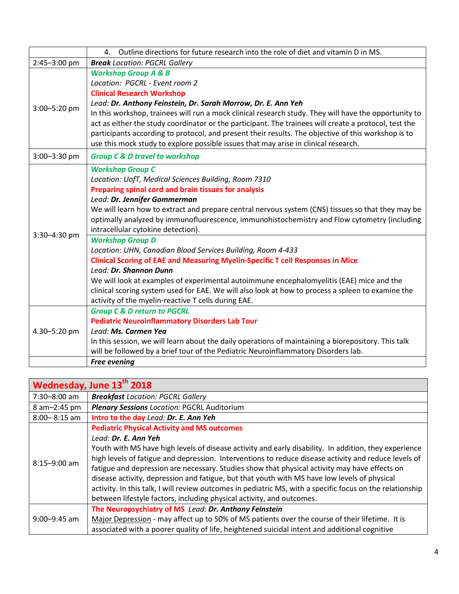|              | Outline directions for future research into the role of diet and vitamin D in MS.<br>4.                                                                                                                                                                                                                                                                                                                                                                                                                                                                                                 |
|--------------|-----------------------------------------------------------------------------------------------------------------------------------------------------------------------------------------------------------------------------------------------------------------------------------------------------------------------------------------------------------------------------------------------------------------------------------------------------------------------------------------------------------------------------------------------------------------------------------------|
| 2:45-3:00 pm | <b>Break</b> Location: PGCRL Gallery                                                                                                                                                                                                                                                                                                                                                                                                                                                                                                                                                    |
| 3:00-5:20 pm | <b>Workshop Group A &amp; B</b><br>Location: PGCRL - Event room 2<br><b>Clinical Research Workshop</b><br>Lead: Dr. Anthony Feinstein, Dr. Sarah Morrow, Dr. E. Ann Yeh<br>In this workshop, trainees will run a mock clinical research study. They will have the opportunity to<br>act as either the study coordinator or the participant. The trainees will create a protocol, test the<br>participants according to protocol, and present their results. The objective of this workshop is to<br>use this mock study to explore possible issues that may arise in clinical research. |
| 3:00-3:30 pm | <b>Group C &amp; D travel to workshop</b>                                                                                                                                                                                                                                                                                                                                                                                                                                                                                                                                               |
| 3:30-4:30 pm | <b>Workshop Group C</b><br>Location: UofT, Medical Sciences Building, Room 7310<br>Preparing spinal cord and brain tissues for analysis<br>Lead: Dr. Jennifer Gommerman<br>We will learn how to extract and prepare central nervous system (CNS) tissues so that they may be<br>optimally analyzed by immunofluorescence, immunohistochemistry and Flow cytometry (including<br>intracellular cytokine detection).<br><b>Workshop Group D</b>                                                                                                                                           |
|              | Location: UHN, Canadian Blood Services Building, Room 4-433<br><b>Clinical Scoring of EAE and Measuring Myelin-Specific T cell Responses in Mice</b><br>Lead: Dr. Shannon Dunn<br>We will look at examples of experimental autoimmune encephalomyelitis (EAE) mice and the<br>clinical scoring system used for EAE. We will also look at how to process a spleen to examine the<br>activity of the myelin-reactive T cells during EAE.                                                                                                                                                  |
| 4.30-5:20 pm | <b>Group C &amp; D return to PGCRL</b><br><b>Pediatric Neuroinflammatory Disorders Lab Tour</b><br>Lead: Ms. Carmen Yea<br>In this session, we will learn about the daily operations of maintaining a biorepository. This talk<br>will be followed by a brief tour of the Pediatric Neuroinflammatory Disorders lab.                                                                                                                                                                                                                                                                    |
|              | <b>Free evening</b>                                                                                                                                                                                                                                                                                                                                                                                                                                                                                                                                                                     |

|                  | Wednesday, June 13th 2018                                                                                                                                                                                                                                                                                                                                                                                                                                                                                                                                                                            |
|------------------|------------------------------------------------------------------------------------------------------------------------------------------------------------------------------------------------------------------------------------------------------------------------------------------------------------------------------------------------------------------------------------------------------------------------------------------------------------------------------------------------------------------------------------------------------------------------------------------------------|
| 7:30-8:00 am     | <b>Breakfast Location: PGCRL Gallery</b>                                                                                                                                                                                                                                                                                                                                                                                                                                                                                                                                                             |
| 8 am-2:45 pm     | <b>Plenary Sessions Location: PGCRL Auditorium</b>                                                                                                                                                                                                                                                                                                                                                                                                                                                                                                                                                   |
| $8:00 - 8:15$ am | Intro to the day Lead: Dr. E. Ann Yeh                                                                                                                                                                                                                                                                                                                                                                                                                                                                                                                                                                |
|                  | <b>Pediatric Physical Activity and MS outcomes</b><br>Lead: Dr. E. Ann Yeh                                                                                                                                                                                                                                                                                                                                                                                                                                                                                                                           |
| $8:15 - 9:00$ am | Youth with MS have high levels of disease activity and early disability. In addition, they experience<br>high levels of fatigue and depression. Interventions to reduce disease activity and reduce levels of<br>fatigue and depression are necessary. Studies show that physical activity may have effects on<br>disease activity, depression and fatigue, but that youth with MS have low levels of physical<br>activity. In this talk, I will review outcomes in pediatric MS, with a specific focus on the relationship<br>between lifestyle factors, including physical activity, and outcomes. |
| $9:00 - 9:45$ am | The Neuropsychiatry of MS Lead: Dr. Anthony Feinstein<br>Major Depression - may affect up to 50% of MS patients over the course of their lifetime. It is<br>associated with a poorer quality of life, heightened suicidal intent and additional cognitive                                                                                                                                                                                                                                                                                                                                            |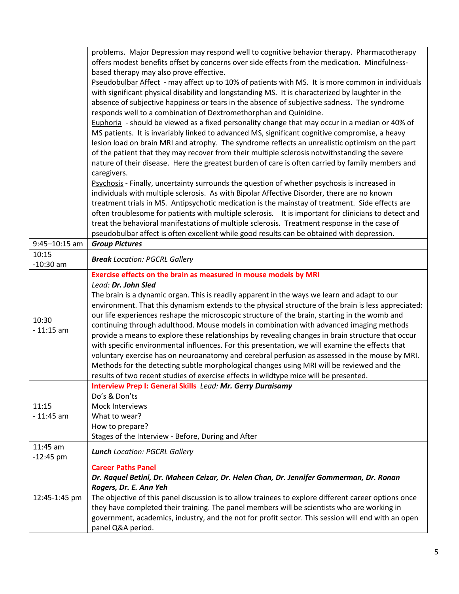|                   | problems. Major Depression may respond well to cognitive behavior therapy. Pharmacotherapy                              |
|-------------------|-------------------------------------------------------------------------------------------------------------------------|
|                   | offers modest benefits offset by concerns over side effects from the medication. Mindfulness-                           |
|                   | based therapy may also prove effective.                                                                                 |
|                   |                                                                                                                         |
|                   | Pseudobulbar Affect - may affect up to 10% of patients with MS. It is more common in individuals                        |
|                   | with significant physical disability and longstanding MS. It is characterized by laughter in the                        |
|                   | absence of subjective happiness or tears in the absence of subjective sadness. The syndrome                             |
|                   | responds well to a combination of Dextromethorphan and Quinidine.                                                       |
|                   | Euphoria - should be viewed as a fixed personality change that may occur in a median or 40% of                          |
|                   | MS patients. It is invariably linked to advanced MS, significant cognitive compromise, a heavy                          |
|                   | lesion load on brain MRI and atrophy. The syndrome reflects an unrealistic optimism on the part                         |
|                   | of the patient that they may recover from their multiple sclerosis notwithstanding the severe                           |
|                   | nature of their disease. Here the greatest burden of care is often carried by family members and                        |
|                   | caregivers.                                                                                                             |
|                   | Psychosis - Finally, uncertainty surrounds the question of whether psychosis is increased in                            |
|                   | individuals with multiple sclerosis. As with Bipolar Affective Disorder, there are no known                             |
|                   | treatment trials in MS. Antipsychotic medication is the mainstay of treatment. Side effects are                         |
|                   | often troublesome for patients with multiple sclerosis. It is important for clinicians to detect and                    |
|                   | treat the behavioral manifestations of multiple sclerosis. Treatment response in the case of                            |
|                   |                                                                                                                         |
|                   | pseudobulbar affect is often excellent while good results can be obtained with depression.<br><b>Group Pictures</b>     |
| $9:45 - 10:15$ am |                                                                                                                         |
| 10:15             | <b>Break</b> Location: PGCRL Gallery                                                                                    |
| $-10:30$ am       |                                                                                                                         |
|                   | Exercise effects on the brain as measured in mouse models by MRI                                                        |
|                   | Lead: Dr. John Sled                                                                                                     |
|                   |                                                                                                                         |
|                   | The brain is a dynamic organ. This is readily apparent in the ways we learn and adapt to our                            |
|                   | environment. That this dynamism extends to the physical structure of the brain is less appreciated:                     |
|                   | our life experiences reshape the microscopic structure of the brain, starting in the womb and                           |
| 10:30             | continuing through adulthood. Mouse models in combination with advanced imaging methods                                 |
| $-11:15$ am       | provide a means to explore these relationships by revealing changes in brain structure that occur                       |
|                   | with specific environmental influences. For this presentation, we will examine the effects that                         |
|                   | voluntary exercise has on neuroanatomy and cerebral perfusion as assessed in the mouse by MRI.                          |
|                   | Methods for the detecting subtle morphological changes using MRI will be reviewed and the                               |
|                   | results of two recent studies of exercise effects in wildtype mice will be presented.                                   |
|                   | Interview Prep I: General Skills Lead: Mr. Gerry Duraisamy                                                              |
|                   | Do's & Don'ts                                                                                                           |
| 11:15             | Mock Interviews                                                                                                         |
|                   |                                                                                                                         |
| $-11:45$ am       | What to wear?                                                                                                           |
|                   | How to prepare?                                                                                                         |
|                   | Stages of the Interview - Before, During and After                                                                      |
| 11:45 am          | <b>Lunch</b> Location: PGCRL Gallery                                                                                    |
| $-12:45$ pm       |                                                                                                                         |
|                   | <b>Career Paths Panel</b>                                                                                               |
|                   | Dr. Raquel Betini, Dr. Maheen Ceizar, Dr. Helen Chan, Dr. Jennifer Gommerman, Dr. Ronan                                 |
|                   | Rogers, Dr. E. Ann Yeh                                                                                                  |
| 12:45-1:45 pm     | The objective of this panel discussion is to allow trainees to explore different career options once                    |
|                   | they have completed their training. The panel members will be scientists who are working in                             |
|                   | government, academics, industry, and the not for profit sector. This session will end with an open<br>panel Q&A period. |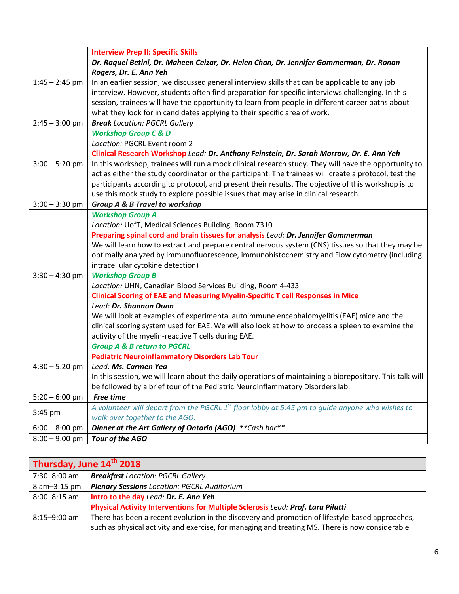|                  | <b>Interview Prep II: Specific Skills</b>                                                                |
|------------------|----------------------------------------------------------------------------------------------------------|
| $1:45 - 2:45$ pm | Dr. Raquel Betini, Dr. Maheen Ceizar, Dr. Helen Chan, Dr. Jennifer Gommerman, Dr. Ronan                  |
|                  | Rogers, Dr. E. Ann Yeh                                                                                   |
|                  | In an earlier session, we discussed general interview skills that can be applicable to any job           |
|                  | interview. However, students often find preparation for specific interviews challenging. In this         |
|                  | session, trainees will have the opportunity to learn from people in different career paths about         |
|                  | what they look for in candidates applying to their specific area of work.                                |
| $2:45 - 3:00$ pm | <b>Break</b> Location: PGCRL Gallery                                                                     |
|                  | <b>Workshop Group C &amp; D</b>                                                                          |
|                  | Location: PGCRL Event room 2                                                                             |
|                  | Clinical Research Workshop Lead: Dr. Anthony Feinstein, Dr. Sarah Morrow, Dr. E. Ann Yeh                 |
| $3:00 - 5:20$ pm | In this workshop, trainees will run a mock clinical research study. They will have the opportunity to    |
|                  | act as either the study coordinator or the participant. The trainees will create a protocol, test the    |
|                  | participants according to protocol, and present their results. The objective of this workshop is to      |
|                  | use this mock study to explore possible issues that may arise in clinical research.                      |
| $3:00 - 3:30$ pm | <b>Group A &amp; B Travel to workshop</b>                                                                |
|                  | <b>Workshop Group A</b>                                                                                  |
|                  | Location: UofT, Medical Sciences Building, Room 7310                                                     |
|                  | Preparing spinal cord and brain tissues for analysis Lead: Dr. Jennifer Gommerman                        |
|                  | We will learn how to extract and prepare central nervous system (CNS) tissues so that they may be        |
|                  | optimally analyzed by immunofluorescence, immunohistochemistry and Flow cytometry (including             |
|                  | intracellular cytokine detection)                                                                        |
| $3:30 - 4:30$ pm | <b>Workshop Group B</b>                                                                                  |
|                  | Location: UHN, Canadian Blood Services Building, Room 4-433                                              |
|                  | <b>Clinical Scoring of EAE and Measuring Myelin-Specific T cell Responses in Mice</b>                    |
|                  | Lead: Dr. Shannon Dunn                                                                                   |
|                  | We will look at examples of experimental autoimmune encephalomyelitis (EAE) mice and the                 |
|                  | clinical scoring system used for EAE. We will also look at how to process a spleen to examine the        |
|                  | activity of the myelin-reactive T cells during EAE.                                                      |
|                  | <b>Group A &amp; B return to PGCRL</b>                                                                   |
|                  | <b>Pediatric Neuroinflammatory Disorders Lab Tour</b>                                                    |
| $4:30 - 5:20$ pm | Lead: Ms. Carmen Yea                                                                                     |
|                  | In this session, we will learn about the daily operations of maintaining a biorepository. This talk will |
|                  | be followed by a brief tour of the Pediatric Neuroinflammatory Disorders lab.                            |
| $5:20 - 6:00$ pm | <b>Free time</b>                                                                                         |
|                  | A volunteer will depart from the PGCRL $1^{st}$ floor lobby at 5:45 pm to quide anyone who wishes to     |
| 5:45 pm          | walk over together to the AGO.                                                                           |
| $6:00 - 8:00$ pm | Dinner at the Art Gallery of Ontario (AGO) ** Cash bar**                                                 |
| $8:00 - 9:00$ pm | Tour of the AGO                                                                                          |

| Thursday, June 14th 2018 |                                                                                                 |
|--------------------------|-------------------------------------------------------------------------------------------------|
| 7:30-8:00 am             | <b>Breakfast</b> Location: PGCRL Gallery                                                        |
| 8 am-3:15 pm             | <b>Plenary Sessions Location: PGCRL Auditorium</b>                                              |
| $8:00 - 8:15$ am         | Intro to the day Lead: Dr. E. Ann Yeh                                                           |
|                          | Physical Activity Interventions for Multiple Sclerosis Lead: Prof. Lara Pilutti                 |
| $8:15 - 9:00$ am         | There has been a recent evolution in the discovery and promotion of lifestyle-based approaches, |
|                          | such as physical activity and exercise, for managing and treating MS. There is now considerable |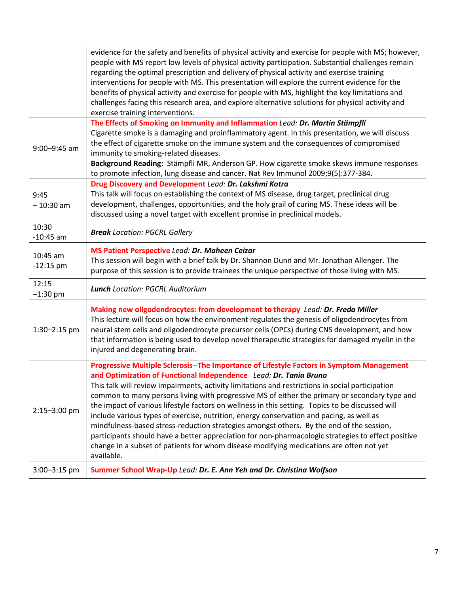|                           | evidence for the safety and benefits of physical activity and exercise for people with MS; however,<br>people with MS report low levels of physical activity participation. Substantial challenges remain<br>regarding the optimal prescription and delivery of physical activity and exercise training<br>interventions for people with MS. This presentation will explore the current evidence for the<br>benefits of physical activity and exercise for people with MS, highlight the key limitations and<br>challenges facing this research area, and explore alternative solutions for physical activity and<br>exercise training interventions. |
|---------------------------|-------------------------------------------------------------------------------------------------------------------------------------------------------------------------------------------------------------------------------------------------------------------------------------------------------------------------------------------------------------------------------------------------------------------------------------------------------------------------------------------------------------------------------------------------------------------------------------------------------------------------------------------------------|
| $9:00 - 9:45$ am          | The Effects of Smoking on Immunity and Inflammation Lead: Dr. Martin Stämpfli<br>Cigarette smoke is a damaging and proinflammatory agent. In this presentation, we will discuss<br>the effect of cigarette smoke on the immune system and the consequences of compromised<br>immunity to smoking-related diseases.<br>Background Reading: Stämpfli MR, Anderson GP. How cigarette smoke skews immune responses<br>to promote infection, lung disease and cancer. Nat Rev Immunol 2009;9(5):377-384.                                                                                                                                                   |
| 9:45<br>$-10:30$ am       | Drug Discovery and Development Lead: Dr. Lakshmi Kotra<br>This talk will focus on establishing the context of MS disease, drug target, preclinical drug<br>development, challenges, opportunities, and the holy grail of curing MS. These ideas will be<br>discussed using a novel target with excellent promise in preclinical models.                                                                                                                                                                                                                                                                                                               |
| 10:30<br>$-10:45$ am      | <b>Break</b> Location: PGCRL Gallery                                                                                                                                                                                                                                                                                                                                                                                                                                                                                                                                                                                                                  |
| $10:45$ am<br>$-12:15$ pm | <b>MS Patient Perspective Lead: Dr. Maheen Ceizar</b><br>This session will begin with a brief talk by Dr. Shannon Dunn and Mr. Jonathan Allenger. The<br>purpose of this session is to provide trainees the unique perspective of those living with MS.                                                                                                                                                                                                                                                                                                                                                                                               |
| 12:15<br>$-1:30$ pm       | <b>Lunch</b> Location: PGCRL Auditorium                                                                                                                                                                                                                                                                                                                                                                                                                                                                                                                                                                                                               |
| 1:30-2:15 pm              | Making new oligodendrocytes: from development to therapy Lead: Dr. Freda Miller<br>This lecture will focus on how the environment regulates the genesis of oligodendrocytes from<br>neural stem cells and oligodendrocyte precursor cells (OPCs) during CNS development, and how<br>that information is being used to develop novel therapeutic strategies for damaged myelin in the<br>injured and degenerating brain.                                                                                                                                                                                                                               |
| 2:15-3:00 pm              | Progressive Multiple Sclerosis--The Importance of Lifestyle Factors in Symptom Management<br>and Optimization of Functional Independence Lead: Dr. Tania Bruno<br>This talk will review impairments, activity limitations and restrictions in social participation<br>common to many persons living with progressive MS of either the primary or secondary type and<br>the impact of various lifestyle factors on wellness in this setting. Topics to be discussed will<br>include various types of exercise, nutrition, energy conservation and pacing, as well as                                                                                   |
|                           | mindfulness-based stress-reduction strategies amongst others. By the end of the session,<br>participants should have a better appreciation for non-pharmacologic strategies to effect positive<br>change in a subset of patients for whom disease modifying medications are often not yet<br>available.                                                                                                                                                                                                                                                                                                                                               |